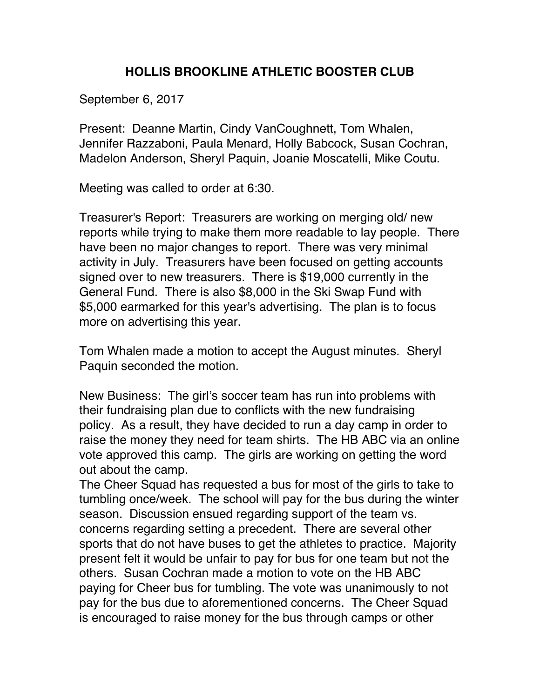## **HOLLIS BROOKLINE ATHLETIC BOOSTER CLUB**

September 6, 2017

Present: Deanne Martin, Cindy VanCoughnett, Tom Whalen, Jennifer Razzaboni, Paula Menard, Holly Babcock, Susan Cochran, Madelon Anderson, Sheryl Paquin, Joanie Moscatelli, Mike Coutu.

Meeting was called to order at 6:30.

Treasurer's Report: Treasurers are working on merging old/ new reports while trying to make them more readable to lay people. There have been no major changes to report. There was very minimal activity in July. Treasurers have been focused on getting accounts signed over to new treasurers. There is \$19,000 currently in the General Fund. There is also \$8,000 in the Ski Swap Fund with \$5,000 earmarked for this year's advertising. The plan is to focus more on advertising this year.

Tom Whalen made a motion to accept the August minutes. Sheryl Paquin seconded the motion.

New Business: The girl's soccer team has run into problems with their fundraising plan due to conflicts with the new fundraising policy. As a result, they have decided to run a day camp in order to raise the money they need for team shirts. The HB ABC via an online vote approved this camp. The girls are working on getting the word out about the camp.

The Cheer Squad has requested a bus for most of the girls to take to tumbling once/week. The school will pay for the bus during the winter season. Discussion ensued regarding support of the team vs. concerns regarding setting a precedent. There are several other sports that do not have buses to get the athletes to practice. Majority present felt it would be unfair to pay for bus for one team but not the others. Susan Cochran made a motion to vote on the HB ABC paying for Cheer bus for tumbling. The vote was unanimously to not pay for the bus due to aforementioned concerns. The Cheer Squad is encouraged to raise money for the bus through camps or other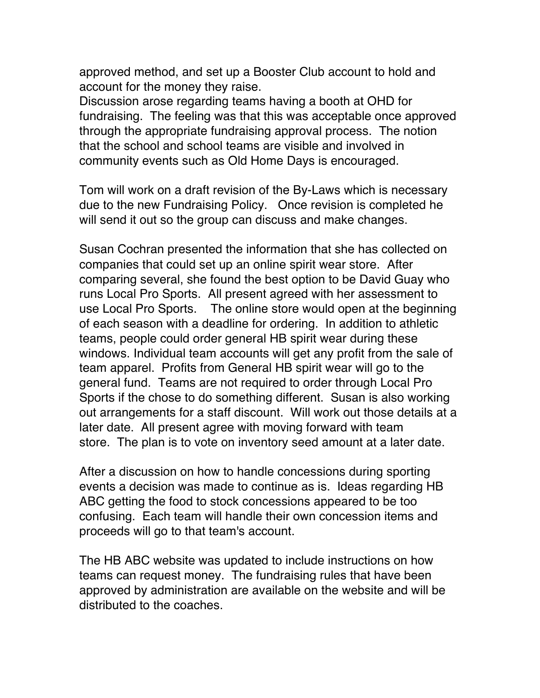approved method, and set up a Booster Club account to hold and account for the money they raise.

Discussion arose regarding teams having a booth at OHD for fundraising. The feeling was that this was acceptable once approved through the appropriate fundraising approval process. The notion that the school and school teams are visible and involved in community events such as Old Home Days is encouraged.

Tom will work on a draft revision of the By-Laws which is necessary due to the new Fundraising Policy. Once revision is completed he will send it out so the group can discuss and make changes.

Susan Cochran presented the information that she has collected on companies that could set up an online spirit wear store. After comparing several, she found the best option to be David Guay who runs Local Pro Sports. All present agreed with her assessment to use Local Pro Sports. The online store would open at the beginning of each season with a deadline for ordering. In addition to athletic teams, people could order general HB spirit wear during these windows. Individual team accounts will get any profit from the sale of team apparel. Profits from General HB spirit wear will go to the general fund. Teams are not required to order through Local Pro Sports if the chose to do something different. Susan is also working out arrangements for a staff discount. Will work out those details at a later date. All present agree with moving forward with team store. The plan is to vote on inventory seed amount at a later date.

After a discussion on how to handle concessions during sporting events a decision was made to continue as is. Ideas regarding HB ABC getting the food to stock concessions appeared to be too confusing. Each team will handle their own concession items and proceeds will go to that team's account.

The HB ABC website was updated to include instructions on how teams can request money. The fundraising rules that have been approved by administration are available on the website and will be distributed to the coaches.